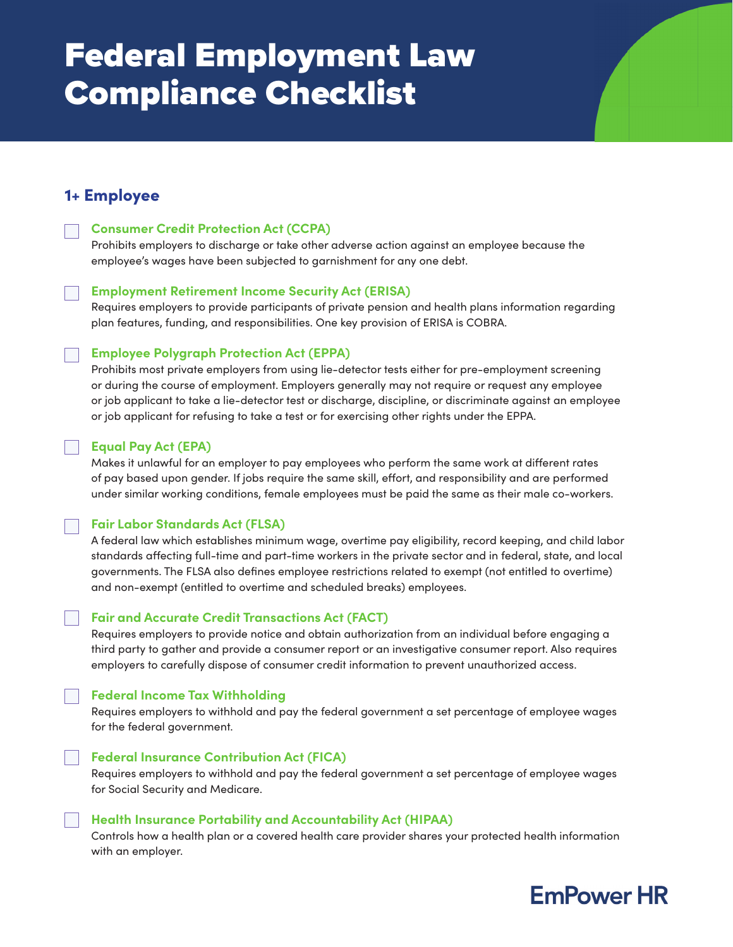# Federal Employment Law Compliance Checklist

### 1+ Employee

### **Consumer Credit Protection Act (CCPA)**

Prohibits employers to discharge or take other adverse action against an employee because the employee's wages have been subjected to garnishment for any one debt.

### **Employment Retirement Income Security Act (ERISA)**

Requires employers to provide participants of private pension and health plans information regarding plan features, funding, and responsibilities. One key provision of ERISA is COBRA.

### **Employee Polygraph Protection Act (EPPA)**

Prohibits most private employers from using lie-detector tests either for pre-employment screening or during the course of employment. Employers generally may not require or request any employee or job applicant to take a lie-detector test or discharge, discipline, or discriminate against an employee or job applicant for refusing to take a test or for exercising other rights under the EPPA.

### **Equal Pay Act (EPA)**

Makes it unlawful for an employer to pay employees who perform the same work at different rates of pay based upon gender. If jobs require the same skill, effort, and responsibility and are performed under similar working conditions, female employees must be paid the same as their male co-workers.

### **Fair Labor Standards Act (FLSA)**

A federal law which establishes minimum wage, overtime pay eligibility, record keeping, and child labor standards affecting full-time and part-time workers in the private sector and in federal, state, and local governments. The FLSA also defines employee restrictions related to exempt (not entitled to overtime) and non-exempt (entitled to overtime and scheduled breaks) employees.

### **Fair and Accurate Credit Transactions Act (FACT)**

Requires employers to provide notice and obtain authorization from an individual before engaging a third party to gather and provide a consumer report or an investigative consumer report. Also requires employers to carefully dispose of consumer credit information to prevent unauthorized access.

### **Federal Income Tax Withholding**

Requires employers to withhold and pay the federal government a set percentage of employee wages for the federal government.

### **Federal Insurance Contribution Act (FICA)**

Requires employers to withhold and pay the federal government a set percentage of employee wages for Social Security and Medicare.

### **Health Insurance Portability and Accountability Act (HIPAA)**

Controls how a health plan or a covered health care provider shares your protected health information with an employer.

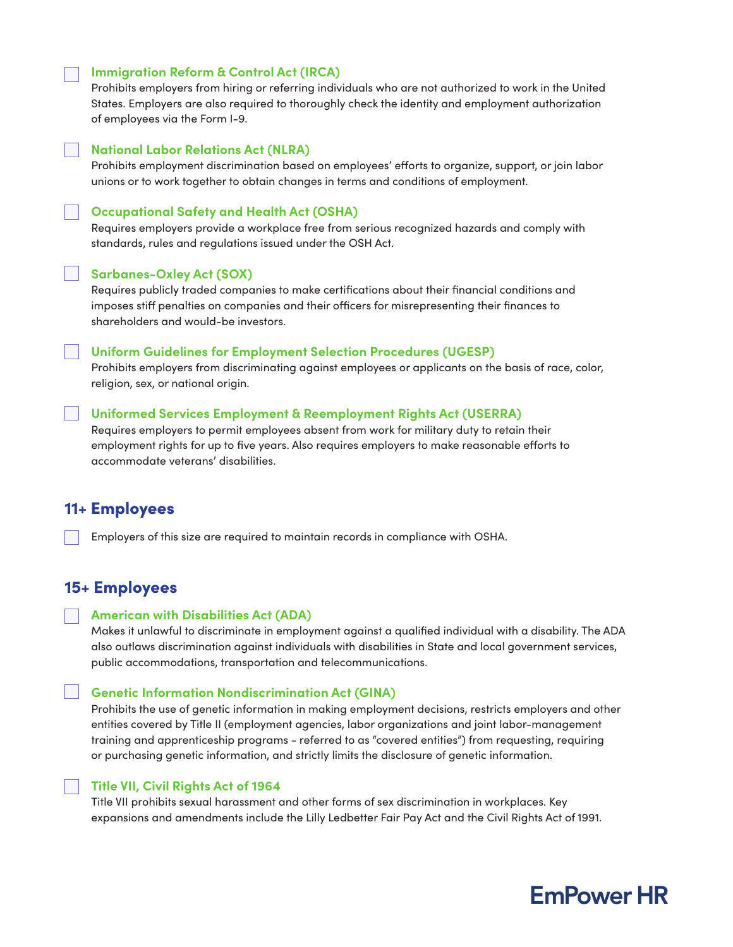### **Immigration Reform & Control Act (IRCA)**

Prohibits employers from hiring or referring individuals who are not authorized to work in the United States. Employers are also required to thoroughly check the identity and employment authorization of employees via the Form I-9.

### **National Labor Relations Act (NLRA)**

Prohibits employment discrimination based on employees' efforts to organize, support, or join labor unions or to work together to obtain changes in terms and conditions of employment.

### **Occupational Safety and Health Act (OSHA)**

Requires employers provide a workplace free from serious recognized hazards and comply with standards, rules and regulations issued under the OSH Act.

#### **Sarbanes-Oxley Act (SOX)**

Requires publicly traded companies to make certifications about their financial conditions and imposes stiff penalties on companies and their officers for misrepresenting their finances to shareholders and would-be investors.

### **Uniform Guidelines for Employment Selection Procedures (UGESP)**

Prohibits employers from discriminating against employees or applicants on the basis of race, color, religion, sex, or national origin.

### **Uniformed Services Employment & Reemployment Rights Act (USERRA)**

Requires employers to permit employees absent from work for military duty to retain their employment rights for up to five years. Also requires employers to make reasonable efforts to accommodate veterans' disabilities.

### 11+ Employees

Employers of this size are required to maintain records in compliance with OSHA.

### 15+ Employees

#### **American with Disabilities Act (ADA)**

Makes it unlawful to discriminate in employment against a qualified individual with a disability. The ADA also outlaws discrimination against individuals with disabilities in State and local government services, public accommodations, transportation and telecommunications.

### **Genetic Information Nondiscrimination Act (GINA)**

Prohibits the use of genetic information in making employment decisions, restricts employers and other entities covered by Title II (employment agencies, labor organizations and joint labor-management training and apprenticeship programs - referred to as "covered entities") from requesting, requiring or purchasing genetic information, and strictly limits the disclosure of genetic information.

#### **Title VII, Civil Rights Act of 1964**

Title VII prohibits sexual harassment and other forms of sex discrimination in workplaces. Key expansions and amendments include the Lilly Ledbetter Fair Pay Act and the Civil Rights Act of 1991.

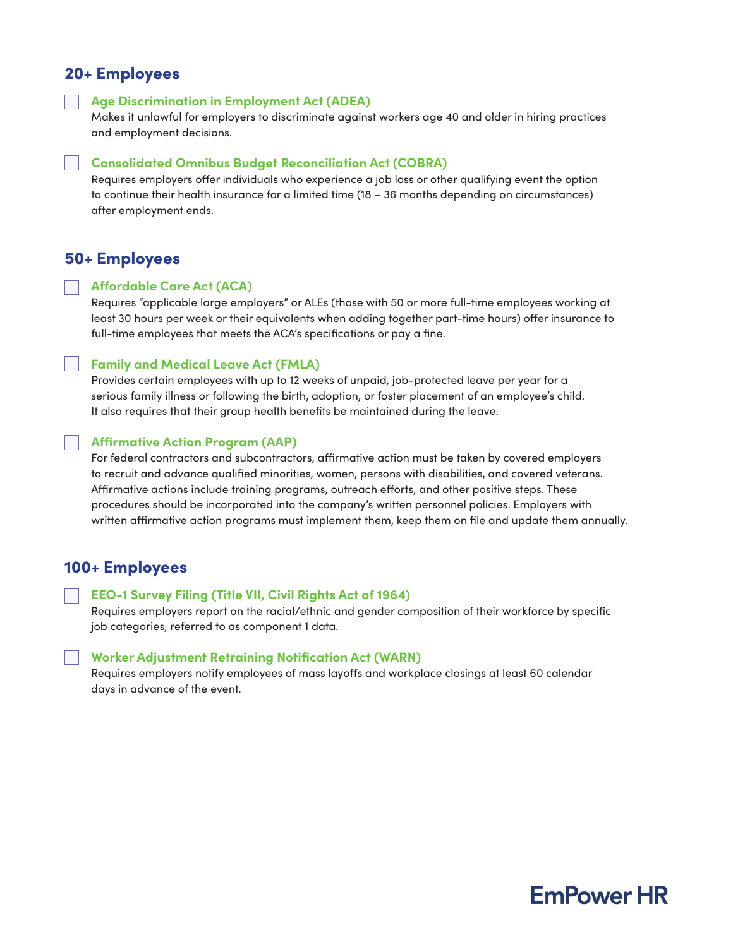### 20+ Employees

**Age Discrimination in Employment Act (ADEA)**

Makes it unlawful for employers to discriminate against workers age 40 and older in hiring practices and employment decisions.

### **Consolidated Omnibus Budget Reconciliation Act (COBRA)**

Requires employers offer individuals who experience a job loss or other qualifying event the option to continue their health insurance for a limited time (18 – 36 months depending on circumstances) after employment ends.

### 50+ Employees

#### **Affordable Care Act (ACA)**

Requires "applicable large employers" or ALEs (those with 50 or more full-time employees working at least 30 hours per week or their equivalents when adding together part-time hours) offer insurance to full-time employees that meets the ACA's specifications or pay a fine.

### **Family and Medical Leave Act (FMLA)**

Provides certain employees with up to 12 weeks of unpaid, job-protected leave per year for a serious family illness or following the birth, adoption, or foster placement of an employee's child. It also requires that their group health benefits be maintained during the leave.

### **Affirmative Action Program (AAP)**

For federal contractors and subcontractors, affirmative action must be taken by covered employers to recruit and advance qualified minorities, women, persons with disabilities, and covered veterans. Affirmative actions include training programs, outreach efforts, and other positive steps. These procedures should be incorporated into the company's written personnel policies. Employers with written affirmative action programs must implement them, keep them on file and update them annually.

### 100+ Employees

#### **EEO-1 Survey Filing (Title VII, Civil Rights Act of 1964)**

Requires employers report on the racial/ethnic and gender composition of their workforce by specific job categories, referred to as component 1 data.

### **Worker Adjustment Retraining Notification Act (WARN)**

Requires employers notify employees of mass layoffs and workplace closings at least 60 calendar days in advance of the event.

# **EmPower HR**